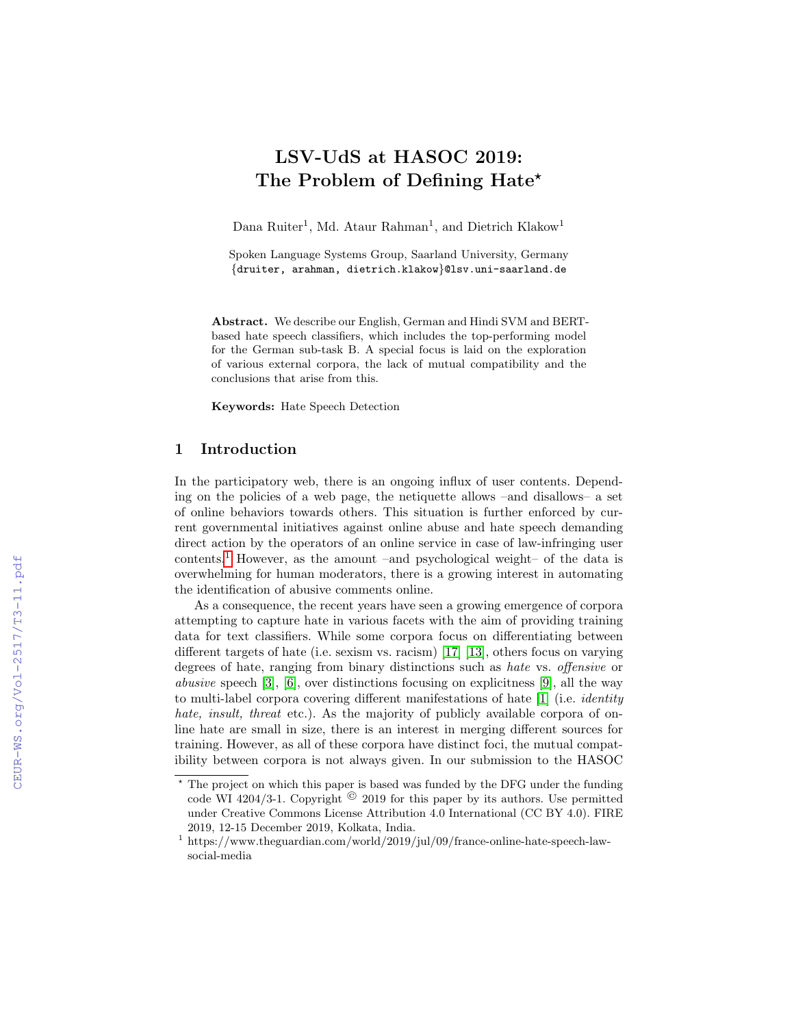# LSV-UdS at HASOC 2019: The Problem of Defining Hate<sup>\*</sup>

Dana Ruiter<sup>1</sup>, Md. Ataur Rahman<sup>1</sup>, and Dietrich Klakow<sup>1</sup>

Spoken Language Systems Group, Saarland University, Germany {druiter, arahman, dietrich.klakow}@lsv.uni-saarland.de

Abstract. We describe our English, German and Hindi SVM and BERTbased hate speech classifiers, which includes the top-performing model for the German sub-task B. A special focus is laid on the exploration of various external corpora, the lack of mutual compatibility and the conclusions that arise from this.

Keywords: Hate Speech Detection

# 1 Introduction

In the participatory web, there is an ongoing influx of user contents. Depending on the policies of a web page, the netiquette allows –and disallows– a set of online behaviors towards others. This situation is further enforced by current governmental initiatives against online abuse and hate speech demanding direct action by the operators of an online service in case of law-infringing user contents.<sup>[1](#page-0-0)</sup> However, as the amount –and psychological weight– of the data is overwhelming for human moderators, there is a growing interest in automating the identification of abusive comments online.

As a consequence, the recent years have seen a growing emergence of corpora attempting to capture hate in various facets with the aim of providing training data for text classifiers. While some corpora focus on differentiating between different targets of hate (i.e. sexism vs. racism) [\[17\]](#page--1-0) [\[13\]](#page--1-1), others focus on varying degrees of hate, ranging from binary distinctions such as hate vs. offensive or abusive speech [\[3\]](#page--1-2), [\[6\]](#page--1-3), over distinctions focusing on explicitness [\[9\]](#page--1-4), all the way to multi-label corpora covering different manifestations of hate [\[1\]](#page--1-5) (i.e. identity hate, insult, threat etc.). As the majority of publicly available corpora of online hate are small in size, there is an interest in merging different sources for training. However, as all of these corpora have distinct foci, the mutual compatibility between corpora is not always given. In our submission to the HASOC

<sup>?</sup> The project on which this paper is based was funded by the DFG under the funding code WI 4204/3-1. Copyright  $\odot$  2019 for this paper by its authors. Use permitted under Creative Commons License Attribution 4.0 International (CC BY 4.0). FIRE 2019, 12-15 December 2019, Kolkata, India.

<span id="page-0-0"></span> $^{\rm 1}$ https://www.theguardian.com/world/2019/jul/09/france-online-hate-speech-lawsocial-media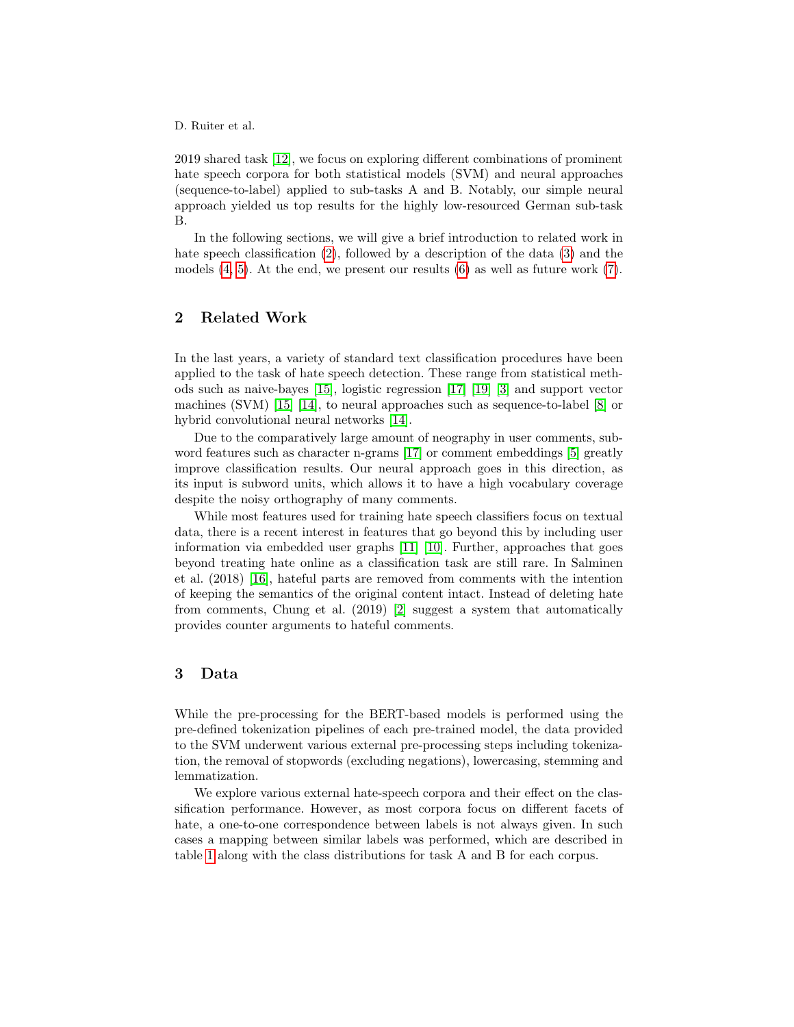2019 shared task [\[12\]](#page-7-0), we focus on exploring different combinations of prominent hate speech corpora for both statistical models (SVM) and neural approaches (sequence-to-label) applied to sub-tasks A and B. Notably, our simple neural approach yielded us top results for the highly low-resourced German sub-task B.

In the following sections, we will give a brief introduction to related work in hate speech classification [\(2\)](#page-1-0), followed by a description of the data [\(3\)](#page-1-1) and the models  $(4, 5)$  $(4, 5)$ . At the end, we present our results  $(6)$  as well as future work  $(7)$ .

# <span id="page-1-0"></span>2 Related Work

In the last years, a variety of standard text classification procedures have been applied to the task of hate speech detection. These range from statistical methods such as naive-bayes [\[15\]](#page-7-1), logistic regression [\[17\]](#page-7-2) [\[19\]](#page-7-3) [\[3\]](#page-6-1) and support vector machines (SVM) [\[15\]](#page-7-1) [\[14\]](#page-7-4), to neural approaches such as sequence-to-label [\[8\]](#page-7-5) or hybrid convolutional neural networks [\[14\]](#page-7-4).

Due to the comparatively large amount of neography in user comments, subword features such as character n-grams [\[17\]](#page-7-2) or comment embeddings [\[5\]](#page-7-6) greatly improve classification results. Our neural approach goes in this direction, as its input is subword units, which allows it to have a high vocabulary coverage despite the noisy orthography of many comments.

While most features used for training hate speech classifiers focus on textual data, there is a recent interest in features that go beyond this by including user information via embedded user graphs [\[11\]](#page-7-7) [\[10\]](#page-7-8). Further, approaches that goes beyond treating hate online as a classification task are still rare. In Salminen et al. (2018) [\[16\]](#page-7-9), hateful parts are removed from comments with the intention of keeping the semantics of the original content intact. Instead of deleting hate from comments, Chung et al. (2019) [\[2\]](#page-6-2) suggest a system that automatically provides counter arguments to hateful comments.

#### <span id="page-1-1"></span>3 Data

While the pre-processing for the BERT-based models is performed using the pre-defined tokenization pipelines of each pre-trained model, the data provided to the SVM underwent various external pre-processing steps including tokenization, the removal of stopwords (excluding negations), lowercasing, stemming and lemmatization.

We explore various external hate-speech corpora and their effect on the classification performance. However, as most corpora focus on different facets of hate, a one-to-one correspondence between labels is not always given. In such cases a mapping between similar labels was performed, which are described in table [1](#page-2-0) along with the class distributions for task A and B for each corpus.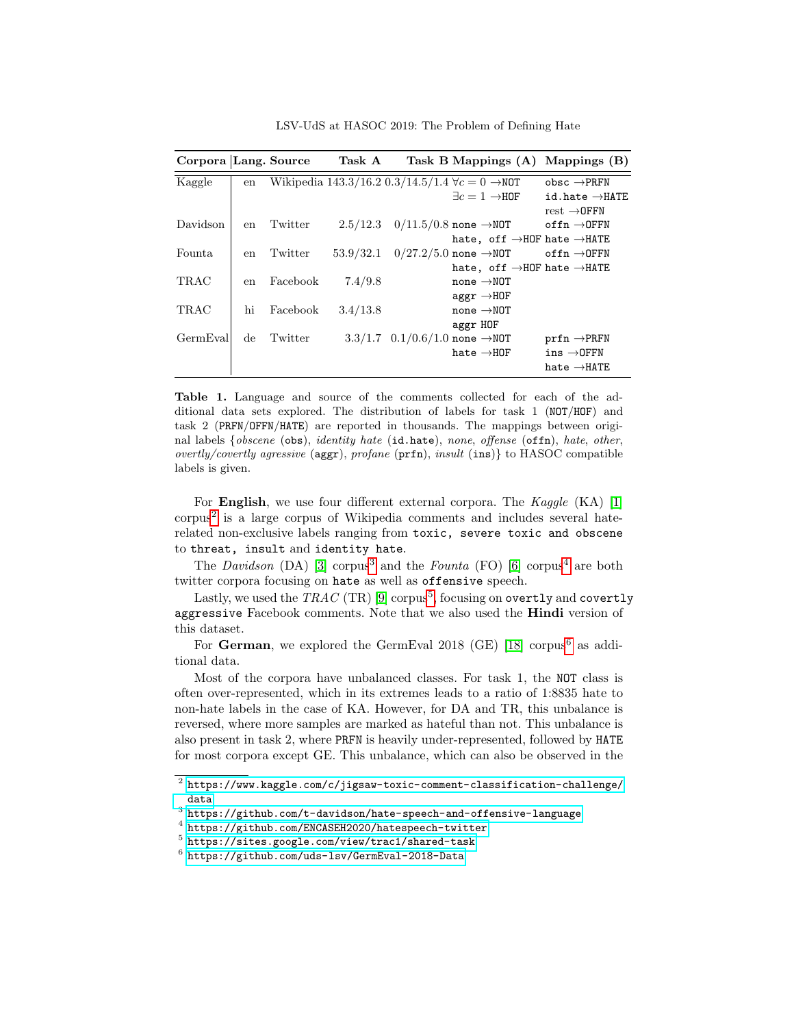Corpora Lang. Source Task A Task B Mappings (A) Mappings (B) Kaggle en Wikipedia 143.3/16.2 0.3/14.5/1.4  $\forall c = 0 \rightarrow \text{NOT}$  obsc  $\rightarrow \text{PREN}$  $\exists c = 1 \rightarrow \!\! \texttt{HOF} \qquad \texttt{id}.\texttt{hate} \rightarrow \!\! \texttt{HATE}$  $rest \rightarrow$ OFFN Davidson en Twitter  $2.5/12.3$  0/11.5/0.8 none →NOT offn →OFFN hate, off  $\rightarrow$  HOF hate  $\rightarrow$  HATE Founta en Twitter  $53.9/32.1$   $0/27.2/5.0$  none  $\rightarrow$ NOT offn  $\rightarrow$ OFFN hate, off  $\rightarrow$  HOF hate  $\rightarrow$  HATE TRAC en Facebook  $7.4/9.8$  none  $\rightarrow$ NOT  $aggr \rightarrow H0F$ TRAC hi Facebook  $3.4/13.8$  none  $\rightarrow$ NOT aggr HOF GermEval de Twitter  $3.3/1.7 \quad 0.1/0.6/1.0$  none  $\rightarrow$ NOT prfn  $\rightarrow$ PRFN  $hat \rightarrow HOF$  ins  $\rightarrow$ OFFN hate →HATE

LSV-UdS at HASOC 2019: The Problem of Defining Hate

<span id="page-2-0"></span>Table 1. Language and source of the comments collected for each of the additional data sets explored. The distribution of labels for task 1 (NOT/HOF) and task 2 (PRFN/OFFN/HATE) are reported in thousands. The mappings between original labels {obscene (obs), identity hate (id.hate), none, offense (offn), hate, other, overtly/covertly agressive ( $\text{aggr}$ ), profane ( $\text{prfn}$ ), insult ( $\text{ins}$ ) to HASOC compatible labels is given.

For **English**, we use four different external corpora. The  $Kaggle$  (KA) [\[1\]](#page-6-3)  $corpus<sup>2</sup>$  $corpus<sup>2</sup>$  $corpus<sup>2</sup>$  is a large corpus of Wikipedia comments and includes several haterelated non-exclusive labels ranging from toxic, severe toxic and obscene to threat, insult and identity hate.

The Davidson  $(DA)$  [\[3\]](#page-6-1) corpus<sup>[3](#page-2-2)</sup> and the Founta (FO) [\[6\]](#page-7-10) corpus<sup>[4](#page-2-3)</sup> are both twitter corpora focusing on hate as well as offensive speech.

Lastly, we used the  $\mathit{TRAC}$  (TR)  $[9]$  corpus $^5,$  $^5,$  $^5,$  focusing on overtly and covertly aggressive Facebook comments. Note that we also used the Hindi version of this dataset.

For German, we explored the GermEval  $2018$  (GE) [\[18\]](#page-7-12) corpus<sup>[6](#page-2-5)</sup> as additional data.

Most of the corpora have unbalanced classes. For task 1, the NOT class is often over-represented, which in its extremes leads to a ratio of 1:8835 hate to non-hate labels in the case of KA. However, for DA and TR, this unbalance is reversed, where more samples are marked as hateful than not. This unbalance is also present in task 2, where PRFN is heavily under-represented, followed by HATE for most corpora except GE. This unbalance, which can also be observed in the

<span id="page-2-1"></span> $^2$  [https://www.kaggle.com/c/jigsaw-toxic-comment-classification-challenge/](https://www.kaggle.com/c/jigsaw-toxic-comment-classification-challenge/data) [data](https://www.kaggle.com/c/jigsaw-toxic-comment-classification-challenge/data)

<span id="page-2-2"></span> $^3$  <https://github.com/t-davidson/hate-speech-and-offensive-language>

<span id="page-2-3"></span><sup>4</sup> <https://github.com/ENCASEH2020/hatespeech-twitter>

<span id="page-2-4"></span> $^5$ <https://sites.google.com/view/trac1/shared-task>

<span id="page-2-5"></span> $^6$  <https://github.com/uds-lsv/GermEval-2018-Data>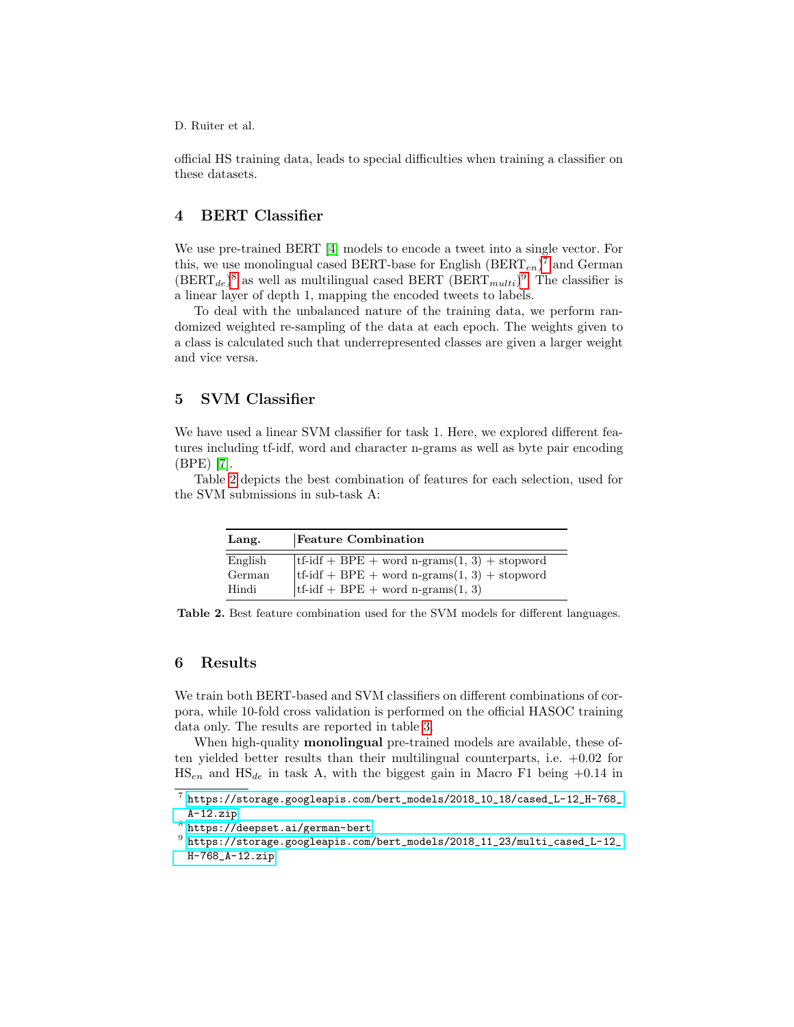official HS training data, leads to special difficulties when training a classifier on these datasets.

## <span id="page-3-0"></span>4 BERT Classifier

We use pre-trained BERT [\[4\]](#page-6-4) models to encode a tweet into a single vector. For this, we use monolingual cased BERT-base for English  $(BERT_{en})^7$  $(BERT_{en})^7$  and German  $(BERT_{de})^8$  $(BERT_{de})^8$  as well as multilingual cased BERT  $(BERT_{multi})^9$  $(BERT_{multi})^9$ . The classifier is a linear layer of depth 1, mapping the encoded tweets to labels.

To deal with the unbalanced nature of the training data, we perform randomized weighted re-sampling of the data at each epoch. The weights given to a class is calculated such that underrepresented classes are given a larger weight and vice versa.

## <span id="page-3-1"></span>5 SVM Classifier

We have used a linear SVM classifier for task 1. Here, we explored different features including tf-idf, word and character n-grams as well as byte pair encoding (BPE) [\[7\]](#page-7-13).

Table [2](#page-3-6) depicts the best combination of features for each selection, used for the SVM submissions in sub-task A:

| Lang.             | <b>Feature Combination</b>                                                                                                            |  |
|-------------------|---------------------------------------------------------------------------------------------------------------------------------------|--|
| English<br>German | tf-idf + BPE + word n-grams $(1, 3)$ + stopword<br>$\text{tf-idf} + \text{BPE} + \text{word } n\text{-grams}(1, 3) + \text{stopword}$ |  |
| Hindi             | $tf-idf + BPE + word n-grams(1, 3)$                                                                                                   |  |

<span id="page-3-6"></span>Table 2. Best feature combination used for the SVM models for different languages.

## <span id="page-3-2"></span>6 Results

We train both BERT-based and SVM classifiers on different combinations of corpora, while 10-fold cross validation is performed on the official HASOC training data only. The results are reported in table [3.](#page-4-0)

When high-quality **monolingual** pre-trained models are available, these often yielded better results than their multilingual counterparts, i.e. +0.02 for  $\text{HS}_{en}$  and  $\text{HS}_{de}$  in task A, with the biggest gain in Macro F1 being +0.14 in

<span id="page-3-3"></span> $^7$  [https://storage.googleapis.com/bert\\_models/2018\\_10\\_18/cased\\_L-12\\_H-768\\_](https://storage.googleapis.com/bert_models/2018_10_18/cased_L-12_H-768_A-12.zip) [A-12.zip](https://storage.googleapis.com/bert_models/2018_10_18/cased_L-12_H-768_A-12.zip)

<span id="page-3-4"></span> $^8$  <https://deepset.ai/german-bert>

<span id="page-3-5"></span> $^9$  [https://storage.googleapis.com/bert\\_models/2018\\_11\\_23/multi\\_cased\\_L-12\\_](https://storage.googleapis.com/bert_models/2018_11_23/multi_cased_L-12_H-768_A-12.zip) [H-768\\_A-12.zip](https://storage.googleapis.com/bert_models/2018_11_23/multi_cased_L-12_H-768_A-12.zip)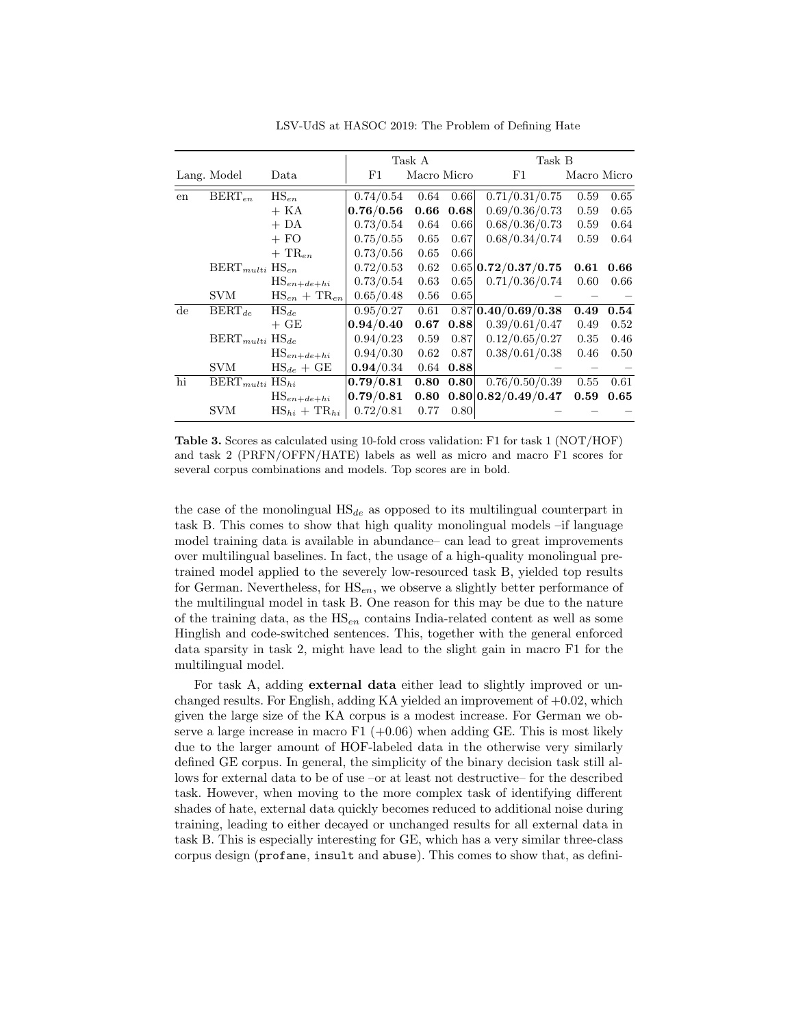Task A Task B Lang. Model Data F1 Macro Micro F1 Macro Micro en BERT<sub>en</sub> HS<sub>en</sub>  $| 0.74/0.54 | 0.64 | 0.66 | 0.71/0.31/0.75 | 0.59 | 0.65$  $+$  KA  $\hspace{1.6cm}$  0.76/0.56 0.66 0.68 0.69/0.36/0.73 0.59 0.65  $+$  DA  $\qquad$  0.73/0.54 0.64 0.66 0.68/0.36/0.73 0.59 0.64  $+$  FO  $\qquad$  0.75/0.55 0.65 0.67 0.68/0.34/0.74 0.59 0.64  $+$  TR<sub>en</sub>  $\qquad$  0.73/0.56 0.65 0.66 BERTmulti HSen 0.72/0.53 0.62 0.65 0.72/0.37/0.75 0.61 0.66 HSen+de+hi 0.73/0.54 0.63 0.65 0.71/0.36/0.74 0.60 0.66 SVM  $HS_{en} + TR_{en}$  0.65/0.48 0.56 0.65  $\overline{\text{de} \text{BERT}_{de}}$  HS<sub>de</sub> | 0.95/0.27 0.61 0.87 **0.40/0.69/0.38 0.49 0.54**  $+$  GE  $|0.94/0.40 \t0.67 \t0.88|0.39/0.61/0.47 \t0.49 \t0.52$ BERTmulti HSde 0.94/0.23 0.59 0.87 0.12/0.65/0.27 0.35 0.46 HSen+de+hi 0.94/0.30 0.62 0.87 0.38/0.61/0.38 0.46 0.50 SVM  $\text{HS}_{de} + \text{GE}$  0.94/0.34 0.64 0.88 hi BERT $_{multi}$  HS<sub>hi</sub> **0.79/0.81 0.80 0.80** 0.76/0.50/0.39 0.55 0.61  $\text{HS}_{en+de+hi}$  | 0.79/0.81 0.80 0.80 | 0.82/0.49/0.47 0.59 0.65 SVM  $\text{HS}_{hi} + \text{TR}_{hi} | 0.72/0.81 \quad 0.77 \quad 0.80$ 

LSV-UdS at HASOC 2019: The Problem of Defining Hate

<span id="page-4-0"></span>Table 3. Scores as calculated using 10-fold cross validation: F1 for task 1 (NOT/HOF) and task 2 (PRFN/OFFN/HATE) labels as well as micro and macro F1 scores for several corpus combinations and models. Top scores are in bold.

the case of the monolingual  $HS_{de}$  as opposed to its multilingual counterpart in task B. This comes to show that high quality monolingual models –if language model training data is available in abundance– can lead to great improvements over multilingual baselines. In fact, the usage of a high-quality monolingual pretrained model applied to the severely low-resourced task B, yielded top results for German. Nevertheless, for  $\text{HS}_{en}$ , we observe a slightly better performance of the multilingual model in task B. One reason for this may be due to the nature of the training data, as the  $\text{HS}_{en}$  contains India-related content as well as some Hinglish and code-switched sentences. This, together with the general enforced data sparsity in task 2, might have lead to the slight gain in macro F1 for the multilingual model.

For task A, adding external data either lead to slightly improved or unchanged results. For English, adding KA yielded an improvement of  $+0.02$ , which given the large size of the KA corpus is a modest increase. For German we observe a large increase in macro F1  $(+0.06)$  when adding GE. This is most likely due to the larger amount of HOF-labeled data in the otherwise very similarly defined GE corpus. In general, the simplicity of the binary decision task still allows for external data to be of use –or at least not destructive– for the described task. However, when moving to the more complex task of identifying different shades of hate, external data quickly becomes reduced to additional noise during training, leading to either decayed or unchanged results for all external data in task B. This is especially interesting for GE, which has a very similar three-class corpus design (profane, insult and abuse). This comes to show that, as defini-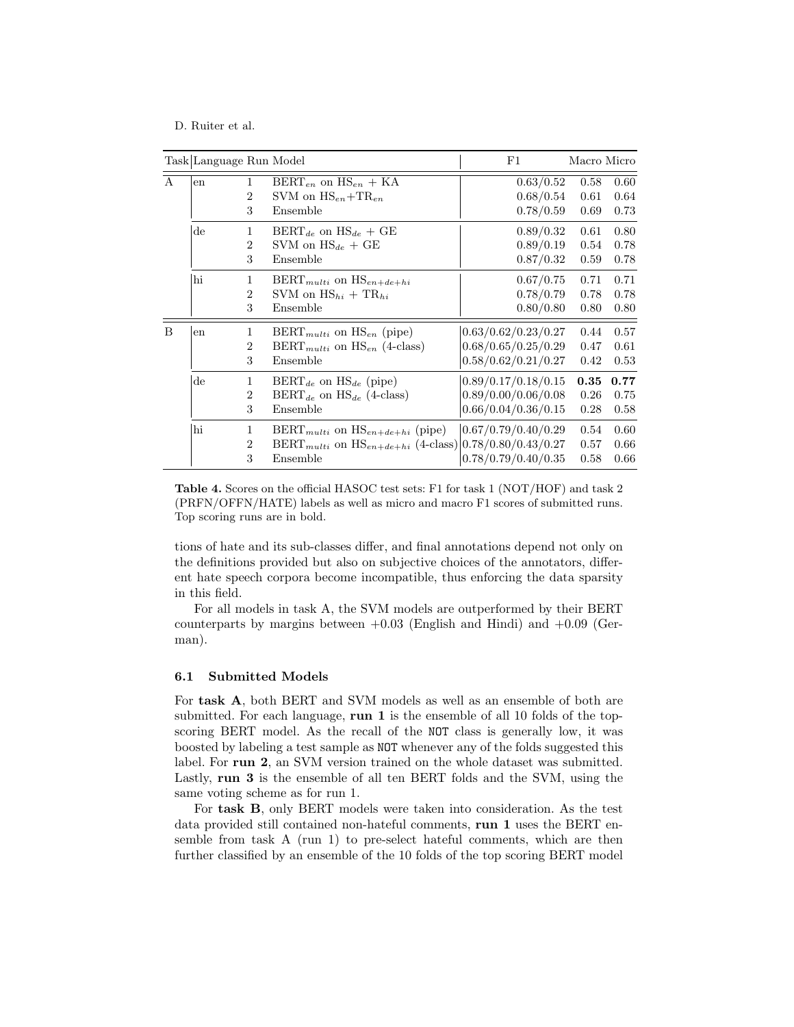| Task Language Run Model<br>F1 |                        |                                     |                                                                                                                                                        |                                                                   | Macro Micro          |                      |
|-------------------------------|------------------------|-------------------------------------|--------------------------------------------------------------------------------------------------------------------------------------------------------|-------------------------------------------------------------------|----------------------|----------------------|
| A                             | en                     | 1<br>$\overline{2}$<br>3            | $BERT_{en}$ on $HS_{en}$ + KA<br>SVM on $HS_{en} + TR_{en}$<br>Ensemble                                                                                | 0.63/0.52<br>0.68/0.54<br>0.78/0.59                               | 0.58<br>0.61<br>0.69 | 0.60<br>0.64<br>0.73 |
|                               | $\mathrm{d}\mathrm{e}$ | 1<br>$\overline{2}$<br>3            | $\text{BERT}_{de}$ on $\text{HS}_{de}$ + GE<br>SVM on $HS_{de} + GE$<br>Ensemble                                                                       | 0.89/0.32<br>0.89/0.19<br>0.87/0.32                               | 0.61<br>0.54<br>0.59 | 0.80<br>0.78<br>0.78 |
|                               | hi                     | 1<br>$\overline{2}$<br>3            | $\text{BERT}_{multi}$ on $\text{HS}_{en+de+hi}$<br>SVM on $\text{HS}_{hi} + \text{TR}_{hi}$<br>Ensemble                                                | 0.67/0.75<br>0.78/0.79<br>0.80/0.80                               | 0.71<br>0.78<br>0.80 | 0.71<br>0.78<br>0.80 |
| B                             | en                     | $\mathbf{1}$<br>$\overline{2}$<br>3 | $BERT_{multi}$ on $HS_{en}$ (pipe)<br>$BERT_{multi}$ on $HS_{en}$ (4-class)<br>Ensemble                                                                | 0.63/0.62/0.23/0.27<br>0.68/0.65/0.25/0.29<br>0.58/0.62/0.21/0.27 | 0.44<br>0.47<br>0.42 | 0.57<br>0.61<br>0.53 |
|                               | $\mathrm{d}\mathrm{e}$ | $\mathbf{1}$<br>$\overline{2}$<br>3 | $BERT_{de}$ on $HS_{de}$ (pipe)<br>$BERT_{de}$ on $HS_{de}$ (4-class)<br>Ensemble                                                                      | 0.89/0.17/0.18/0.15<br>0.89/0.00/0.06/0.08<br>0.66/0.04/0.36/0.15 | 0.35<br>0.26<br>0.28 | 0.77<br>0.75<br>0.58 |
|                               | hi                     | $\mathbf{1}$<br>$\overline{2}$<br>3 | $\text{BERT}_{multi}$ on $\text{HS}_{en+de+hi}$ (pipe)<br>BERT <sub>multi</sub> on $\text{HS}_{en+de+hi}$ (4-class) $ 0.78/0.80/0.43/0.27$<br>Ensemble | 0.67/0.79/0.40/0.29<br>0.78/0.79/0.40/0.35                        | 0.54<br>0.57<br>0.58 | 0.60<br>0.66<br>0.66 |

<span id="page-5-0"></span>Table 4. Scores on the official HASOC test sets: F1 for task 1 (NOT/HOF) and task 2 (PRFN/OFFN/HATE) labels as well as micro and macro F1 scores of submitted runs. Top scoring runs are in bold.

tions of hate and its sub-classes differ, and final annotations depend not only on the definitions provided but also on subjective choices of the annotators, different hate speech corpora become incompatible, thus enforcing the data sparsity in this field.

For all models in task A, the SVM models are outperformed by their BERT counterparts by margins between  $+0.03$  (English and Hindi) and  $+0.09$  (German).

#### 6.1 Submitted Models

For task A, both BERT and SVM models as well as an ensemble of both are submitted. For each language, run 1 is the ensemble of all 10 folds of the topscoring BERT model. As the recall of the NOT class is generally low, it was boosted by labeling a test sample as NOT whenever any of the folds suggested this label. For run 2, an SVM version trained on the whole dataset was submitted. Lastly, run 3 is the ensemble of all ten BERT folds and the SVM, using the same voting scheme as for run 1.

For task B, only BERT models were taken into consideration. As the test data provided still contained non-hateful comments, run 1 uses the BERT ensemble from task A (run 1) to pre-select hateful comments, which are then further classified by an ensemble of the 10 folds of the top scoring BERT model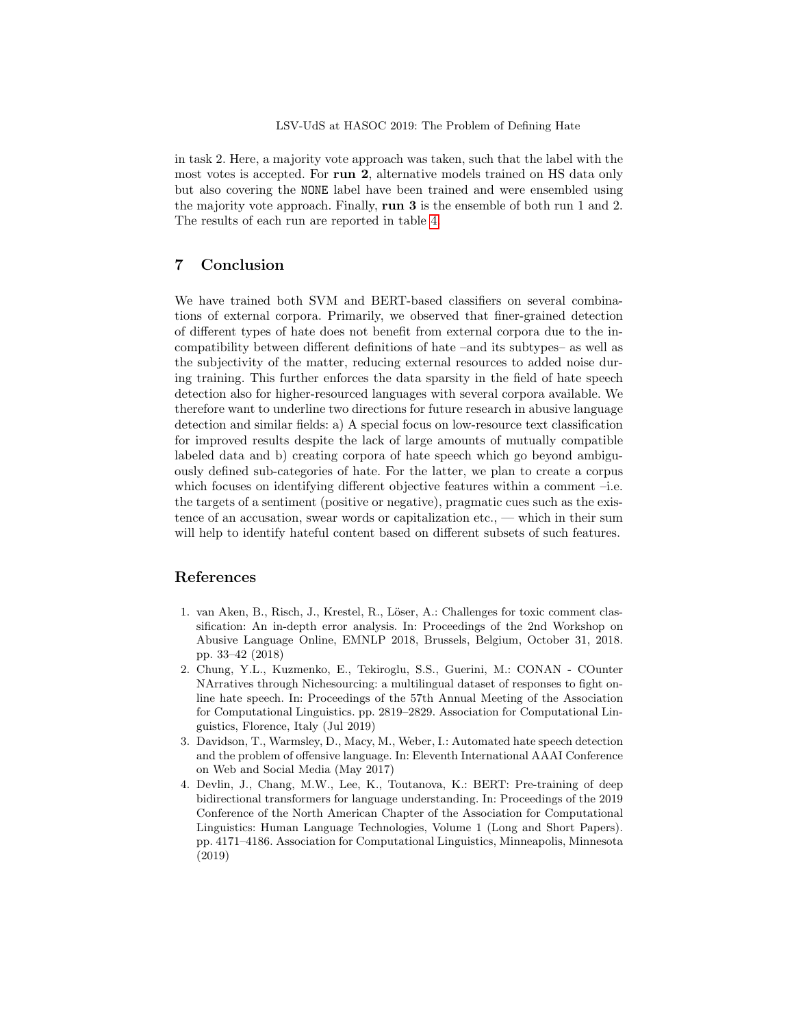in task 2. Here, a majority vote approach was taken, such that the label with the most votes is accepted. For run 2, alternative models trained on HS data only but also covering the NONE label have been trained and were ensembled using the majority vote approach. Finally, run 3 is the ensemble of both run 1 and 2. The results of each run are reported in table [4.](#page-5-0)

# <span id="page-6-0"></span>7 Conclusion

We have trained both SVM and BERT-based classifiers on several combinations of external corpora. Primarily, we observed that finer-grained detection of different types of hate does not benefit from external corpora due to the incompatibility between different definitions of hate –and its subtypes– as well as the subjectivity of the matter, reducing external resources to added noise during training. This further enforces the data sparsity in the field of hate speech detection also for higher-resourced languages with several corpora available. We therefore want to underline two directions for future research in abusive language detection and similar fields: a) A special focus on low-resource text classification for improved results despite the lack of large amounts of mutually compatible labeled data and b) creating corpora of hate speech which go beyond ambiguously defined sub-categories of hate. For the latter, we plan to create a corpus which focuses on identifying different objective features within a comment –i.e. the targets of a sentiment (positive or negative), pragmatic cues such as the existence of an accusation, swear words or capitalization etc., — which in their sum will help to identify hateful content based on different subsets of such features.

# References

- <span id="page-6-3"></span>1. van Aken, B., Risch, J., Krestel, R., Löser, A.: Challenges for toxic comment classification: An in-depth error analysis. In: Proceedings of the 2nd Workshop on Abusive Language Online, EMNLP 2018, Brussels, Belgium, October 31, 2018. pp. 33–42 (2018)
- <span id="page-6-2"></span>2. Chung, Y.L., Kuzmenko, E., Tekiroglu, S.S., Guerini, M.: CONAN - COunter NArratives through Nichesourcing: a multilingual dataset of responses to fight online hate speech. In: Proceedings of the 57th Annual Meeting of the Association for Computational Linguistics. pp. 2819–2829. Association for Computational Linguistics, Florence, Italy (Jul 2019)
- <span id="page-6-1"></span>3. Davidson, T., Warmsley, D., Macy, M., Weber, I.: Automated hate speech detection and the problem of offensive language. In: Eleventh International AAAI Conference on Web and Social Media (May 2017)
- <span id="page-6-4"></span>4. Devlin, J., Chang, M.W., Lee, K., Toutanova, K.: BERT: Pre-training of deep bidirectional transformers for language understanding. In: Proceedings of the 2019 Conference of the North American Chapter of the Association for Computational Linguistics: Human Language Technologies, Volume 1 (Long and Short Papers). pp. 4171–4186. Association for Computational Linguistics, Minneapolis, Minnesota (2019)